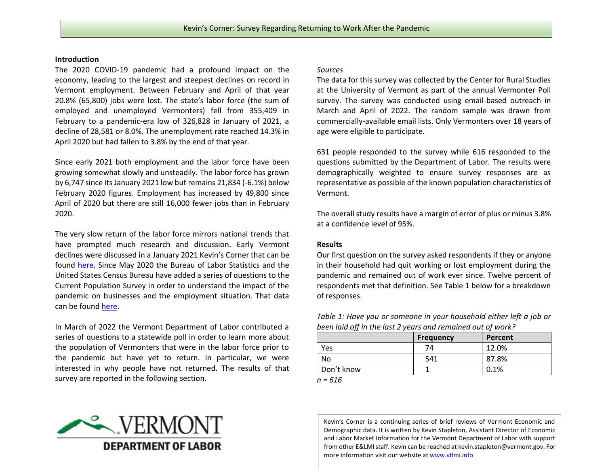## **Introduction**

The 2020 COVID-19 pandemic had a profound impact on the economy, leading to the largest and steepest declines on record in Vermont employment. Between February and April of that year 20.8% (65,800) jobs were lost. The state's labor force (the sum of employed and unemployed Vermonters) fell from 355,409 in February to a pandemic-era low of 326,828 in January of 2021, a decline of 28,581 or 8.0%. The unemployment rate reached 14.3% in April 2020 but had fallen to 3.8% by the end of that year.

Since early 2021 both employment and the labor force have been growing somewhat slowly and unsteadily. The labor force has grown by 6,747 since its January 2021 low but remains 21,834 (-6.1%) below February 2020 figures. Employment has increased by 49,800 since April of 2020 but there are still 16,000 fewer jobs than in February 2020.

The very slow return of the labor force mirrors national trends that have prompted much research and discussion. Early Vermont declines were discussed in a January 2021 Kevin's Corner that can be found [here.](http://www.vtlmi.info/kevinscorner1.7.2021_Pandemic_Labor_Force_Changes.pdf) Since May 2020 the Bureau of Labor Statistics and the United States Census Bureau have added a series of questions to the Current Population Survey in order to understand the impact of the pandemic on businesses and the employment situation. That data can be found [here.](https://www.bls.gov/cps/effects-of-the-coronavirus-covid-19-pandemic.htm)

In March of 2022 the Vermont Department of Labor contributed a series of questions to a statewide poll in order to learn more about the population of Vermonters that were in the labor force prior to the pandemic but have yet to return. In particular, we were interested in why people have not returned. The results of that survey are reported in the following section.

## VERMONT **DEPARTMENT OF LABOR**

## *Sources*

The data for this survey was collected by the Center for Rural Studies at the University of Vermont as part of the annual Vermonter Poll survey. The survey was conducted using email-based outreach in March and April of 2022. The random sample was drawn from commercially-available email lists. Only Vermonters over 18 years of age were eligible to participate.

631 people responded to the survey while 616 responded to the questions submitted by the Department of Labor. The results were demographically weighted to ensure survey responses are as representative as possible of the known population characteristics of Vermont.

The overall study results have a margin of error of plus or minus 3.8% at a confidence level of 95%.

## **Results**

Our first question on the survey asked respondents if they or anyone in their household had quit working or lost employment during the pandemic and remained out of work ever since. Twelve percent of respondents met that definition. See Table 1 below for a breakdown of responses.

*Table 1: Have you or someone in your household either left a job or been laid off in the last 2 years and remained out of work?*

|            | <b>Frequency</b> | Percent |  |  |  |
|------------|------------------|---------|--|--|--|
| Yes        | 74               | 12.0%   |  |  |  |
| No         | 541              | 87.8%   |  |  |  |
| Don't know |                  | 0.1%    |  |  |  |
|            |                  |         |  |  |  |

*n = 616*

Kevin's Corner is a continuing series of brief reviews of Vermont Economic and Demographic data. It is written by Kevin Stapleton, Assistant Director of Economic and Labor Market Information for the Vermont Department of Labor with support from other E&LMI staff. Kevin can be reached a[t kevin.stapleton@vermont.gov.](mailto:kevin.stapleton@vermont.gov) For more information visit our website at www.vtlmi.info